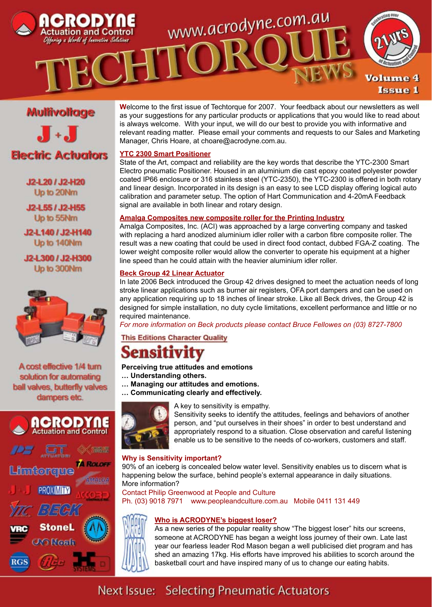

## **Mullivollage**

 $J \cdot J$ 

## **Electric Actuators**

J2-L20 / J2-H20 Up to 20Nm

J2-L55 / J2-H55 Up to 55Nm

J2-L140 / J2-H140 Up to 140Nm

J2-L300 / J2-H300 Up to 300Nm



A cost effective 1/4 turn solution for automating ball valves, butterfly valves dampers etc.



**W**elcome to the first issue of Techtorque for 2007. Your feedback about our newsletters as well as your suggestions for any particular products or applications that you would like to read about is always welcome. With your input, we will do our best to provide you with informative and relevant reading matter. Please email your comments and requests to our Sales and Marketing Manager, Chris Hoare, at choare@acrodyne.com.au.

#### **YTC 2300 Smart Positioner**

State of the Art, compact and reliability are the key words that describe the YTC-2300 Smart Electro pneumatic Positioner. Housed in an aluminium die cast epoxy coated polyester powder coated IP66 enclosure or 316 stainless steel (YTC-2350), the YTC-2300 is offered in both rotary and linear design. Incorporated in its design is an easy to see LCD display offering logical auto calibration and parameter setup. The option of Hart Communication and 4-20mA Feedback signal are available in both linear and rotary design.

#### **Amalga Composites new composite roller for the Printing Industry**

Amalga Composites, Inc. (ACI) was approached by a large converting company and tasked with replacing a hard anodized aluminium idler roller with a carbon fibre composite roller. The result was a new coating that could be used in direct food contact, dubbed FGA-Z coating. The lower weight composite roller would allow the converter to operate his equipment at a higher line speed than he could attain with the heavier aluminium idler roller.

#### **Beck Group 42 Linear Actuator**

In late 2006 Beck introduced the Group 42 drives designed to meet the actuation needs of long stroke linear applications such as burner air registers, OFA port dampers and can be used on any application requiring up to 18 inches of linear stroke. Like all Beck drives, the Group 42 is designed for simple installation, no duty cycle limitations, excellent performance and little or no required maintenance.

*For more information on Beck products please contact Bruce Fellowes on (03) 8727-7800*

#### **This Editions Character Quality**

# **Sensitivity**

- **Perceiving true attitudes and emotions**
- **… Understanding others.**
- **… Managing our attitudes and emotions.**
- **… Communicating clearly and effectively.**



A key to sensitivity is empathy. Sensitivity seeks to identify the attitudes, feelings and behaviors of another

person, and "put ourselves in their shoes" in order to best understand and appropriately respond to a situation. Close observation and careful listening enable us to be sensitive to the needs of co-workers, customers and staff.

#### **Why is Sensitivity important?**

90% of an iceberg is concealed below water level. Sensitivity enables us to discern what is happening below the surface, behind people's external appearance in daily situations. More information?

Contact Philip Greenwood at People and Culture

Ph. (03) 9018 7971 www.peopleandculture.com.au Mobile 0411 131 449

### **Who is ACRODYNE's biggest loser?**

As a new series of the popular reality show "The biggest loser" hits our screens, someone at ACRODYNE has began a weight loss journey of their own. Late last year our fearless leader Rod Mason began a well publicised diet program and has shed an amazing 17kg. His efforts have improved his abilities to scorch around the basketball court and have inspired many of us to change our eating habits.

# Next Issue: Selecting Pneumatic Actuators